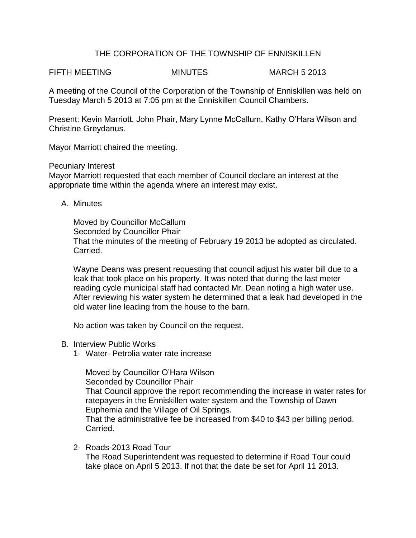## THE CORPORATION OF THE TOWNSHIP OF ENNISKILLEN

FIFTH MEETING MINUTES MARCH 5 2013

A meeting of the Council of the Corporation of the Township of Enniskillen was held on Tuesday March 5 2013 at 7:05 pm at the Enniskillen Council Chambers.

Present: Kevin Marriott, John Phair, Mary Lynne McCallum, Kathy O'Hara Wilson and Christine Greydanus.

Mayor Marriott chaired the meeting.

Pecuniary Interest

Mayor Marriott requested that each member of Council declare an interest at the appropriate time within the agenda where an interest may exist.

A. Minutes

Moved by Councillor McCallum Seconded by Councillor Phair That the minutes of the meeting of February 19 2013 be adopted as circulated. Carried.

Wayne Deans was present requesting that council adjust his water bill due to a leak that took place on his property. It was noted that during the last meter reading cycle municipal staff had contacted Mr. Dean noting a high water use. After reviewing his water system he determined that a leak had developed in the old water line leading from the house to the barn.

No action was taken by Council on the request.

- B. Interview Public Works
	- 1- Water- Petrolia water rate increase

Moved by Councillor O'Hara Wilson Seconded by Councillor Phair That Council approve the report recommending the increase in water rates for ratepayers in the Enniskillen water system and the Township of Dawn Euphemia and the Village of Oil Springs. That the administrative fee be increased from \$40 to \$43 per billing period. Carried.

2- Roads-2013 Road Tour The Road Superintendent was requested to determine if Road Tour could take place on April 5 2013. If not that the date be set for April 11 2013.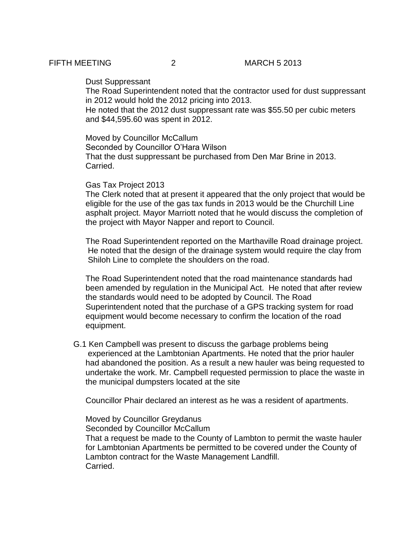### Dust Suppressant

The Road Superintendent noted that the contractor used for dust suppressant in 2012 would hold the 2012 pricing into 2013.

He noted that the 2012 dust suppressant rate was \$55.50 per cubic meters and \$44,595.60 was spent in 2012.

Moved by Councillor McCallum Seconded by Councillor O'Hara Wilson That the dust suppressant be purchased from Den Mar Brine in 2013. Carried.

#### Gas Tax Project 2013

The Clerk noted that at present it appeared that the only project that would be eligible for the use of the gas tax funds in 2013 would be the Churchill Line asphalt project. Mayor Marriott noted that he would discuss the completion of the project with Mayor Napper and report to Council.

The Road Superintendent reported on the Marthaville Road drainage project. He noted that the design of the drainage system would require the clay from Shiloh Line to complete the shoulders on the road.

The Road Superintendent noted that the road maintenance standards had been amended by regulation in the Municipal Act. He noted that after review the standards would need to be adopted by Council. The Road Superintendent noted that the purchase of a GPS tracking system for road equipment would become necessary to confirm the location of the road equipment.

G.1 Ken Campbell was present to discuss the garbage problems being experienced at the Lambtonian Apartments. He noted that the prior hauler had abandoned the position. As a result a new hauler was being requested to undertake the work. Mr. Campbell requested permission to place the waste in the municipal dumpsters located at the site

Councillor Phair declared an interest as he was a resident of apartments.

Moved by Councillor Greydanus Seconded by Councillor McCallum That a request be made to the County of Lambton to permit the waste hauler for Lambtonian Apartments be permitted to be covered under the County of Lambton contract for the Waste Management Landfill. Carried.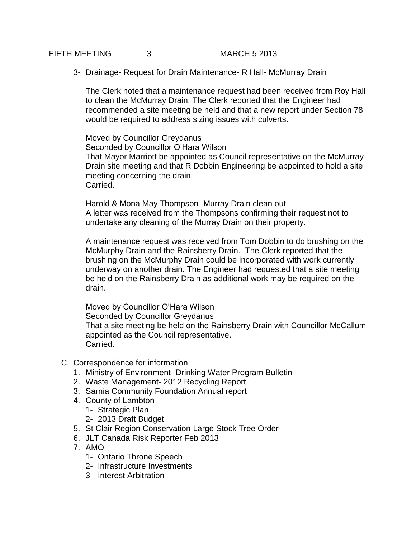# FIFTH MEETING 3 MARCH 5 2013

3- Drainage- Request for Drain Maintenance- R Hall- McMurray Drain

The Clerk noted that a maintenance request had been received from Roy Hall to clean the McMurray Drain. The Clerk reported that the Engineer had recommended a site meeting be held and that a new report under Section 78 would be required to address sizing issues with culverts.

Moved by Councillor Greydanus Seconded by Councillor O'Hara Wilson That Mayor Marriott be appointed as Council representative on the McMurray Drain site meeting and that R Dobbin Engineering be appointed to hold a site meeting concerning the drain. Carried.

Harold & Mona May Thompson- Murray Drain clean out A letter was received from the Thompsons confirming their request not to undertake any cleaning of the Murray Drain on their property.

A maintenance request was received from Tom Dobbin to do brushing on the McMurphy Drain and the Rainsberry Drain. The Clerk reported that the brushing on the McMurphy Drain could be incorporated with work currently underway on another drain. The Engineer had requested that a site meeting be held on the Rainsberry Drain as additional work may be required on the drain.

Moved by Councillor O'Hara Wilson Seconded by Councillor Greydanus That a site meeting be held on the Rainsberry Drain with Councillor McCallum appointed as the Council representative. Carried.

- C. Correspondence for information
	- 1. Ministry of Environment- Drinking Water Program Bulletin
	- 2. Waste Management- 2012 Recycling Report
	- 3. Sarnia Community Foundation Annual report
	- 4. County of Lambton
		- 1- Strategic Plan
		- 2- 2013 Draft Budget
	- 5. St Clair Region Conservation Large Stock Tree Order
	- 6. JLT Canada Risk Reporter Feb 2013
	- 7. AMO
		- 1- Ontario Throne Speech
		- 2- Infrastructure Investments
		- 3- Interest Arbitration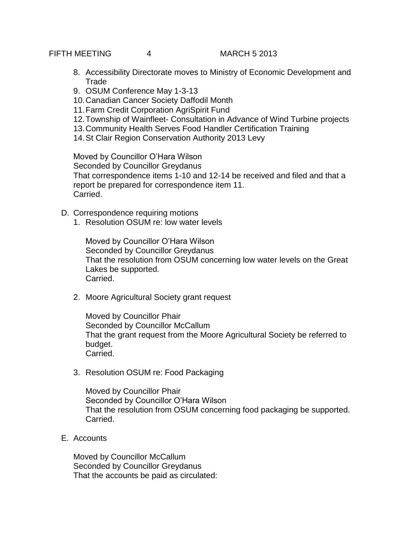FIFTH MEETING 4 MARCH 5 2013

- 8. Accessibility Directorate moves to Ministry of Economic Development and **Trade**
- 9. OSUM Conference May 1-3-13
- 10.Canadian Cancer Society Daffodil Month
- 11.Farm Credit Corporation AgriSpirit Fund
- 12.Township of Wainfleet- Consultation in Advance of Wind Turbine projects
- 13.Community Health Serves Food Handler Certification Training
- 14.St Clair Region Conservation Authority 2013 Levy

Moved by Councillor O'Hara Wilson Seconded by Councillor Greydanus That correspondence items 1-10 and 12-14 be received and filed and that a report be prepared for correspondence item 11. Carried.

- D. Correspondence requiring motions
	- 1. Resolution OSUM re: low water levels

Moved by Councillor O'Hara Wilson Seconded by Councillor Greydanus That the resolution from OSUM concerning low water levels on the Great Lakes be supported. Carried.

2. Moore Agricultural Society grant request

Moved by Councillor Phair Seconded by Councillor McCallum That the grant request from the Moore Agricultural Society be referred to budget. Carried.

3. Resolution OSUM re: Food Packaging

Moved by Councillor Phair Seconded by Councillor O'Hara Wilson That the resolution from OSUM concerning food packaging be supported. Carried.

E. Accounts

Moved by Councillor McCallum Seconded by Councillor Greydanus That the accounts be paid as circulated: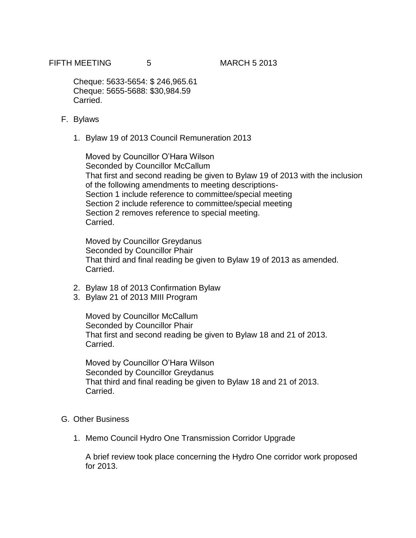Cheque: 5633-5654: \$ 246,965.61 Cheque: 5655-5688: \$30,984.59 Carried.

- F. Bylaws
	- 1. Bylaw 19 of 2013 Council Remuneration 2013

Moved by Councillor O'Hara Wilson Seconded by Councillor McCallum That first and second reading be given to Bylaw 19 of 2013 with the inclusion of the following amendments to meeting descriptions-Section 1 include reference to committee/special meeting Section 2 include reference to committee/special meeting Section 2 removes reference to special meeting. Carried.

Moved by Councillor Greydanus Seconded by Councillor Phair That third and final reading be given to Bylaw 19 of 2013 as amended. Carried.

- 2. Bylaw 18 of 2013 Confirmation Bylaw
- 3. Bylaw 21 of 2013 MIII Program

Moved by Councillor McCallum Seconded by Councillor Phair That first and second reading be given to Bylaw 18 and 21 of 2013. Carried.

Moved by Councillor O'Hara Wilson Seconded by Councillor Greydanus That third and final reading be given to Bylaw 18 and 21 of 2013. Carried.

## G. Other Business

1. Memo Council Hydro One Transmission Corridor Upgrade

A brief review took place concerning the Hydro One corridor work proposed for 2013.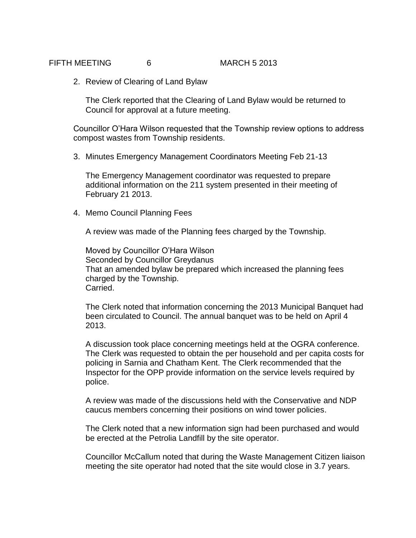## FIFTH MEETING 6 MARCH 5 2013

2. Review of Clearing of Land Bylaw

The Clerk reported that the Clearing of Land Bylaw would be returned to Council for approval at a future meeting.

Councillor O'Hara Wilson requested that the Township review options to address compost wastes from Township residents.

3. Minutes Emergency Management Coordinators Meeting Feb 21-13

The Emergency Management coordinator was requested to prepare additional information on the 211 system presented in their meeting of February 21 2013.

4. Memo Council Planning Fees

A review was made of the Planning fees charged by the Township.

Moved by Councillor O'Hara Wilson Seconded by Councillor Greydanus That an amended bylaw be prepared which increased the planning fees charged by the Township. Carried.

The Clerk noted that information concerning the 2013 Municipal Banquet had been circulated to Council. The annual banquet was to be held on April 4 2013.

A discussion took place concerning meetings held at the OGRA conference. The Clerk was requested to obtain the per household and per capita costs for policing in Sarnia and Chatham Kent. The Clerk recommended that the Inspector for the OPP provide information on the service levels required by police.

A review was made of the discussions held with the Conservative and NDP caucus members concerning their positions on wind tower policies.

The Clerk noted that a new information sign had been purchased and would be erected at the Petrolia Landfill by the site operator.

Councillor McCallum noted that during the Waste Management Citizen liaison meeting the site operator had noted that the site would close in 3.7 years.